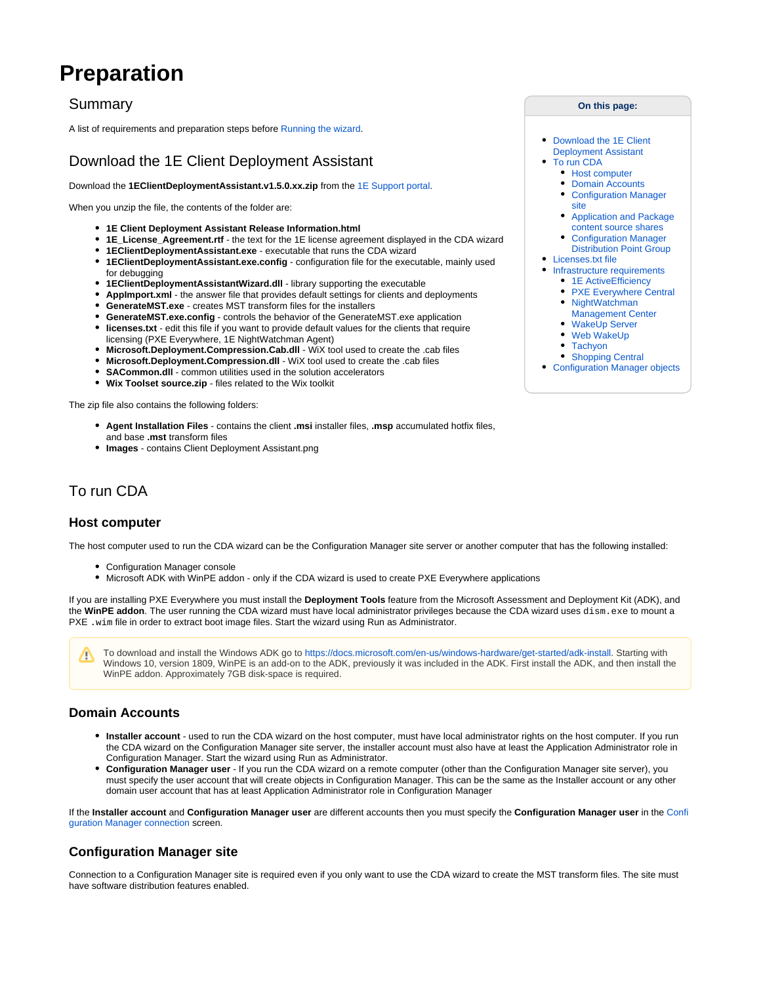# **Preparation**

# Summary

A list of requirements and preparation steps before [Running the wizard](https://help.1e.com/display/CDA15/Running+the+wizard).

# <span id="page-0-0"></span>Download the 1E Client Deployment Assistant

Download the **1EClientDeploymentAssistant.v1.5.0.xx.zip** from the [1E Support portal](https://1eportal.force.com/s/endpointagentinstallertopic).

When you unzip the file, the contents of the folder are:

- **1E Client Deployment Assistant Release Information.html**
- **1E\_License\_Agreement.rtf** the text for the 1E license agreement displayed in the CDA wizard
- **1EClientDeploymentAssistant.exe** executable that runs the CDA wizard
- **1EClientDeploymentAssistant.exe.config** configuration file for the executable, mainly used for debugging
- **1EClientDeploymentAssistantWizard.dll** library supporting the executable
- **AppImport.xml** the answer file that provides default settings for clients and deployments
- **GenerateMST.exe** creates MST transform files for the installers
- **GenerateMST.exe.config** controls the behavior of the GenerateMST.exe application
- **licenses.txt** edit this file if you want to provide default values for the clients that require  $\bullet$ licensing (PXE Everywhere, 1E NightWatchman Agent)
- **Microsoft.Deployment.Compression.Cab.dll** WiX tool used to create the .cab files
- **Microsoft.Deployment.Compression.dll** WiX tool used to create the .cab files
- **SACommon.dll** common utilities used in the solution accelerators
- **Wix Toolset source.zip** files related to the Wix toolkit

The zip file also contains the following folders:

- **Agent Installation Files** contains the client **.msi** installer files, **.msp** accumulated hotfix files, and base **.mst** transform files
- **Images** contains Client Deployment Assistant.png

# <span id="page-0-1"></span>To run CDA

### <span id="page-0-2"></span>**Host computer**

The host computer used to run the CDA wizard can be the Configuration Manager site server or another computer that has the following installed:

- Configuration Manager console
- Microsoft ADK with WinPE addon only if the CDA wizard is used to create PXE Everywhere applications

If you are installing PXE Everywhere you must install the **Deployment Tools** feature from the Microsoft Assessment and Deployment Kit (ADK), and the WinPE addon. The user running the CDA wizard must have local administrator privileges because the CDA wizard uses dism.exe to mount a PXE . wim file in order to extract boot image files. Start the wizard using Run as Administrator.

To download and install the Windows ADK go to [https://docs.microsoft.com/en-us/windows-hardware/get-started/adk-install.](https://docs.microsoft.com/en-us/windows-hardware/get-started/adk-install) Starting with Λ Windows 10, version 1809, WinPE is an add-on to the ADK, previously it was included in the ADK. First install the ADK, and then install the WinPE addon. Approximately 7GB disk-space is required.

### <span id="page-0-3"></span>**Domain Accounts**

⊘

- **Installer account** used to run the CDA wizard on the host computer, must have local administrator rights on the host computer. If you run the CDA wizard on the Configuration Manager site server, the installer account must also have at least the Application Administrator role in Configuration Manager. Start the wizard using Run as Administrator.
- **Configuration Manager user** If you run the CDA wizard on a remote computer (other than the Configuration Manager site server), you must specify the user account that will create objects in Configuration Manager. This can be the same as the Installer account or any other domain user account that has at least Application Administrator role in Configuration Manager

If the **Installer account** and **Configuration Manager user** are different accounts then you must specify the **Configuration Manager user** in the [Confi](https://help.1e.com/display/CDA15/Running+the+wizard#Runningthewizard-ConfigurationManagerconnection) [guration Manager connection](https://help.1e.com/display/CDA15/Running+the+wizard#Runningthewizard-ConfigurationManagerconnection) screen.

### <span id="page-0-4"></span>**Configuration Manager site**

Connection to a Configuration Manager site is required even if you only want to use the CDA wizard to create the MST transform files. The site must have software distribution features enabled.

#### **On this page:**

- $\bullet$ [Download the 1E Client](#page-0-0)  [Deployment Assistant](#page-0-0)
- [To run CDA](#page-0-1)
	- [Host computer](#page-0-2)
- [Domain Accounts](#page-0-3) [Configuration Manager](#page-0-4) 
	- [site](#page-0-4)
- [Application and Package](#page-1-0)  [content source shares](#page-1-0)
- [Configuration Manager](#page-1-1)
- [Distribution Point Group](#page-1-1)
- [Licenses.txt file](#page-1-2)
- [Infrastructure requirements](#page-1-3)
	- [1E ActiveEfficiency](#page-2-0)
	- [PXE Everywhere Central](#page-2-1)
	- [NightWatchman](#page-2-2)
	- [Management Center](#page-2-2)
	- $\bullet$ [WakeUp Server](#page-2-3)
	- [Web WakeUp](#page-2-4) • [Tachyon](#page-2-5)
	- [Shopping Central](#page-3-0)
- [Configuration Manager objects](#page-3-1)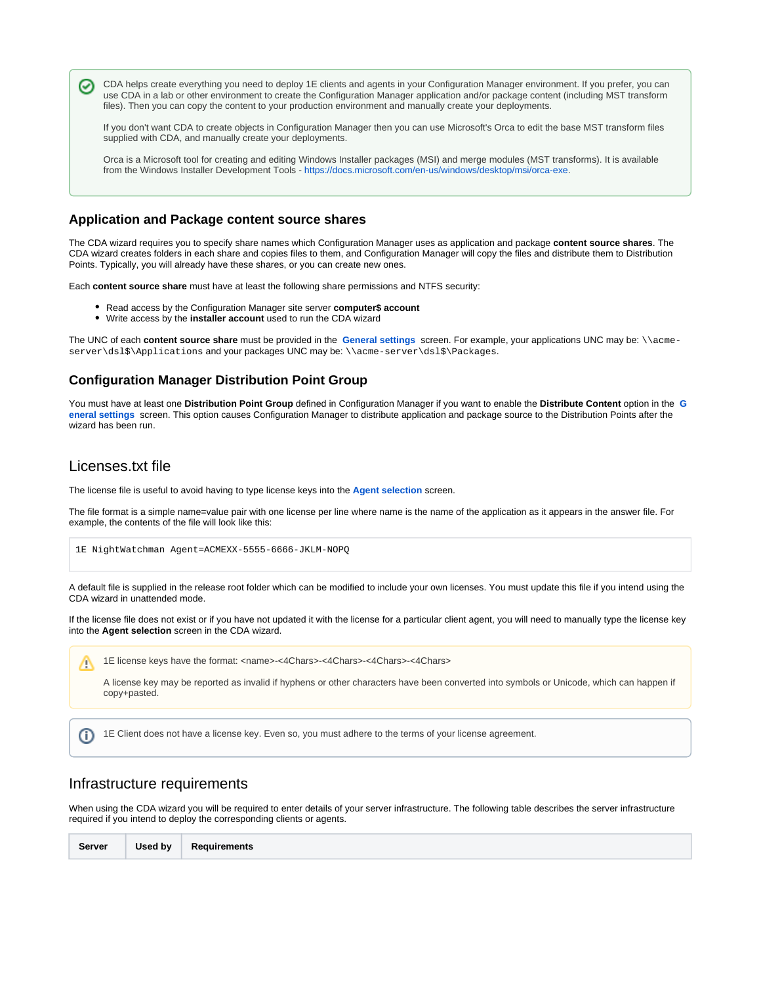CDA helps create everything you need to deploy 1E clients and agents in your Configuration Manager environment. If you prefer, you can ∞ use CDA in a lab or other environment to create the Configuration Manager application and/or package content (including MST transform files). Then you can copy the content to your production environment and manually create your deployments.

If you don't want CDA to create objects in Configuration Manager then you can use Microsoft's Orca to edit the base MST transform files supplied with CDA, and manually create your deployments.

Orca is a Microsoft tool for creating and editing Windows Installer packages (MSI) and merge modules (MST transforms). It is available from the Windows Installer Development Tools - <https://docs.microsoft.com/en-us/windows/desktop/msi/orca-exe>.

## <span id="page-1-0"></span>**Application and Package content source shares**

The CDA wizard requires you to specify share names which Configuration Manager uses as application and package **content source shares**. The CDA wizard creates folders in each share and copies files to them, and Configuration Manager will copy the files and distribute them to Distribution Points. Typically, you will already have these shares, or you can create new ones.

Each **content source share** must have at least the following share permissions and NTFS security:

- Read access by the Configuration Manager site server **computer\$ account**
- Write access by the **installer account** used to run the CDA wizard

The UNC of each **content source share** must be provided in the **[General settings](https://help.1e.com/display/CDA15/Running+the+wizard#Runningthewizard-Generalsettings)** screen. For example, your applications UNC may be: \\acmeserver\dsl\$\Applications and your packages UNC may be: \\acme-server\dsl\$\Packages.

### <span id="page-1-1"></span>**Configuration Manager Distribution Point Group**

You must have at least one **Distribution Point Group** defined in Configuration Manager if you want to enable the **Distribute Content** option in the **[G](https://help.1e.com/display/CDA15/Running+the+wizard#Runningthewizard-Generalsettings) [eneral settings](https://help.1e.com/display/CDA15/Running+the+wizard#Runningthewizard-Generalsettings)** screen. This option causes Configuration Manager to distribute application and package source to the Distribution Points after the wizard has been run.

# <span id="page-1-2"></span>Licenses.txt file

Λ

The license file is useful to avoid having to type license keys into the **[Agent selection](https://help.1e.com/display/CDA15/Running+the+wizard#Runningthewizard-Agentselection)** screen.

The file format is a simple name=value pair with one license per line where name is the name of the application as it appears in the answer file. For example, the contents of the file will look like this:

```
1E NightWatchman Agent=ACMEXX-5555-6666-JKLM-NOPQ
```
A default file is supplied in the release root folder which can be modified to include your own licenses. You must update this file if you intend using the CDA wizard in unattended mode.

If the license file does not exist or if you have not updated it with the license for a particular client agent, you will need to manually type the license key into the **Agent selection** screen in the CDA wizard.

1E license keys have the format: <name>-<4Chars>-<4Chars>-<4Chars>-<4Chars>

A license key may be reported as invalid if hyphens or other characters have been converted into symbols or Unicode, which can happen if copy+pasted.

1E Client does not have a license key. Even so, you must adhere to the terms of your license agreement.G)

### <span id="page-1-3"></span>Infrastructure requirements

When using the CDA wizard you will be required to enter details of your server infrastructure. The following table describes the server infrastructure required if you intend to deploy the corresponding clients or agents.

| Server | Used by | Requirements |
|--------|---------|--------------|
|--------|---------|--------------|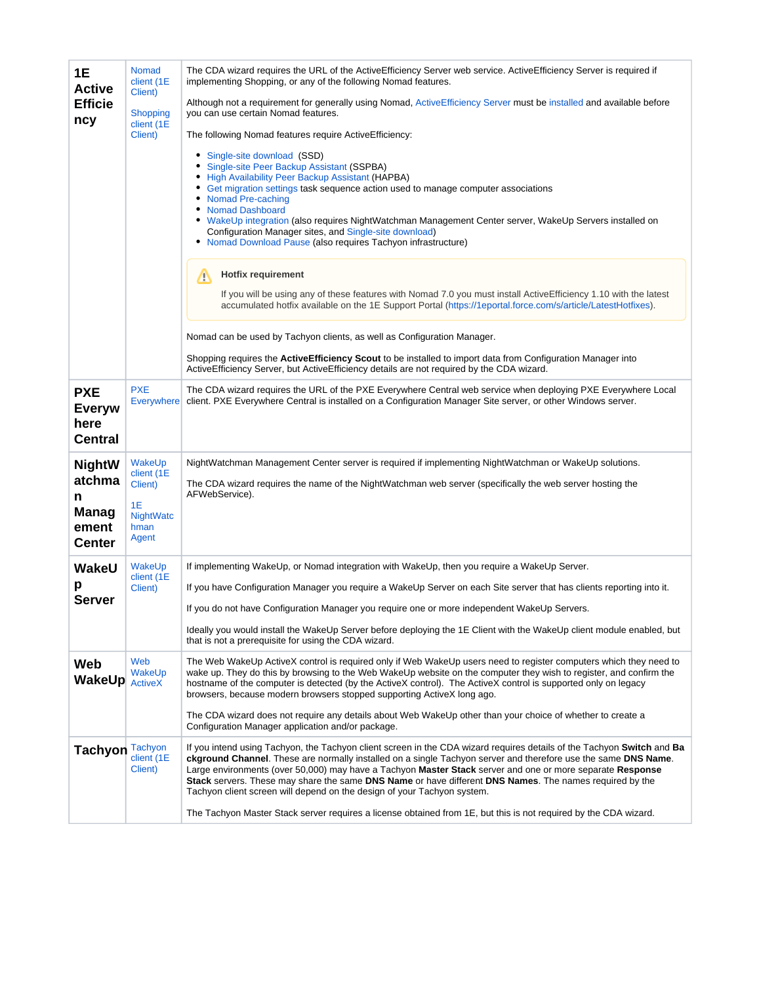<span id="page-2-5"></span><span id="page-2-4"></span><span id="page-2-3"></span><span id="page-2-2"></span><span id="page-2-1"></span><span id="page-2-0"></span>

| 1E<br><b>Active</b><br><b>Efficie</b><br>ncy          | Nomad<br>client (1E<br>Client)                     | The CDA wizard requires the URL of the ActiveEfficiency Server web service. ActiveEfficiency Server is required if<br>implementing Shopping, or any of the following Nomad features.                                                                                                                                                                                                                                                                                                                                                              |  |
|-------------------------------------------------------|----------------------------------------------------|---------------------------------------------------------------------------------------------------------------------------------------------------------------------------------------------------------------------------------------------------------------------------------------------------------------------------------------------------------------------------------------------------------------------------------------------------------------------------------------------------------------------------------------------------|--|
|                                                       | <b>Shopping</b><br>client (1E                      | Although not a requirement for generally using Nomad, ActiveEfficiency Server must be installed and available before<br>you can use certain Nomad features.                                                                                                                                                                                                                                                                                                                                                                                       |  |
|                                                       | Client)                                            | The following Nomad features require ActiveEfficiency:                                                                                                                                                                                                                                                                                                                                                                                                                                                                                            |  |
|                                                       |                                                    | Single-site download (SSD)<br>٠<br>• Single-site Peer Backup Assistant (SSPBA)<br>• High Availability Peer Backup Assistant (HAPBA)<br>• Get migration settings task sequence action used to manage computer associations<br>• Nomad Pre-caching<br>• Nomad Dashboard<br>. WakeUp integration (also requires NightWatchman Management Center server, WakeUp Servers installed on<br>Configuration Manager sites, and Single-site download)<br>• Nomad Download Pause (also requires Tachyon infrastructure)                                       |  |
|                                                       |                                                    | <b>Hotfix requirement</b><br>Δ                                                                                                                                                                                                                                                                                                                                                                                                                                                                                                                    |  |
|                                                       |                                                    | If you will be using any of these features with Nomad 7.0 you must install Active Efficiency 1.10 with the latest<br>accumulated hotfix available on the 1E Support Portal (https://1eportal.force.com/s/article/LatestHotfixes).                                                                                                                                                                                                                                                                                                                 |  |
|                                                       |                                                    | Nomad can be used by Tachyon clients, as well as Configuration Manager.                                                                                                                                                                                                                                                                                                                                                                                                                                                                           |  |
|                                                       |                                                    | Shopping requires the ActiveEfficiency Scout to be installed to import data from Configuration Manager into<br>ActiveEfficiency Server, but ActiveEfficiency details are not required by the CDA wizard.                                                                                                                                                                                                                                                                                                                                          |  |
| <b>PXE</b><br><b>Everyw</b><br>here<br><b>Central</b> | <b>PXE</b><br><b>Everywhere</b>                    | The CDA wizard requires the URL of the PXE Everywhere Central web service when deploying PXE Everywhere Local<br>client. PXE Everywhere Central is installed on a Configuration Manager Site server, or other Windows server.                                                                                                                                                                                                                                                                                                                     |  |
| <b>NightW</b>                                         | WakeUp<br>client (1E                               | NightWatchman Management Center server is required if implementing NightWatchman or WakeUp solutions.                                                                                                                                                                                                                                                                                                                                                                                                                                             |  |
| atchma<br>n<br><b>Manag</b><br>ement<br><b>Center</b> | Client)<br>1E<br><b>NightWatc</b><br>hman<br>Agent | The CDA wizard requires the name of the NightWatchman web server (specifically the web server hosting the<br>AFWebService).                                                                                                                                                                                                                                                                                                                                                                                                                       |  |
| WakeU                                                 | WakeUp<br>client (1E<br>Client)                    | If implementing WakeUp, or Nomad integration with WakeUp, then you require a WakeUp Server.                                                                                                                                                                                                                                                                                                                                                                                                                                                       |  |
| р                                                     |                                                    | If you have Configuration Manager you require a WakeUp Server on each Site server that has clients reporting into it.                                                                                                                                                                                                                                                                                                                                                                                                                             |  |
| <b>Server</b>                                         |                                                    | If you do not have Configuration Manager you require one or more independent WakeUp Servers.                                                                                                                                                                                                                                                                                                                                                                                                                                                      |  |
|                                                       |                                                    | Ideally you would install the WakeUp Server before deploying the 1E Client with the WakeUp client module enabled, but<br>that is not a prerequisite for using the CDA wizard.                                                                                                                                                                                                                                                                                                                                                                     |  |
| Web<br>WakeUp                                         | Web<br>WakeUp<br><b>ActiveX</b>                    | The Web WakeUp ActiveX control is required only if Web WakeUp users need to register computers which they need to<br>wake up. They do this by browsing to the Web WakeUp website on the computer they wish to register, and confirm the<br>hostname of the computer is detected (by the ActiveX control). The ActiveX control is supported only on legacy<br>browsers, because modern browsers stopped supporting ActiveX long ago.<br>The CDA wizard does not require any details about Web WakeUp other than your choice of whether to create a |  |
|                                                       |                                                    | Configuration Manager application and/or package.                                                                                                                                                                                                                                                                                                                                                                                                                                                                                                 |  |
| Tachyon                                               | <b>Tachyon</b><br>client (1E<br>Client)            | If you intend using Tachyon, the Tachyon client screen in the CDA wizard requires details of the Tachyon Switch and Ba<br>ckground Channel. These are normally installed on a single Tachyon server and therefore use the same DNS Name.<br>Large environments (over 50,000) may have a Tachyon Master Stack server and one or more separate Response<br>Stack servers. These may share the same DNS Name or have different DNS Names. The names required by the<br>Tachyon client screen will depend on the design of your Tachyon system.       |  |
|                                                       |                                                    | The Tachyon Master Stack server requires a license obtained from 1E, but this is not required by the CDA wizard.                                                                                                                                                                                                                                                                                                                                                                                                                                  |  |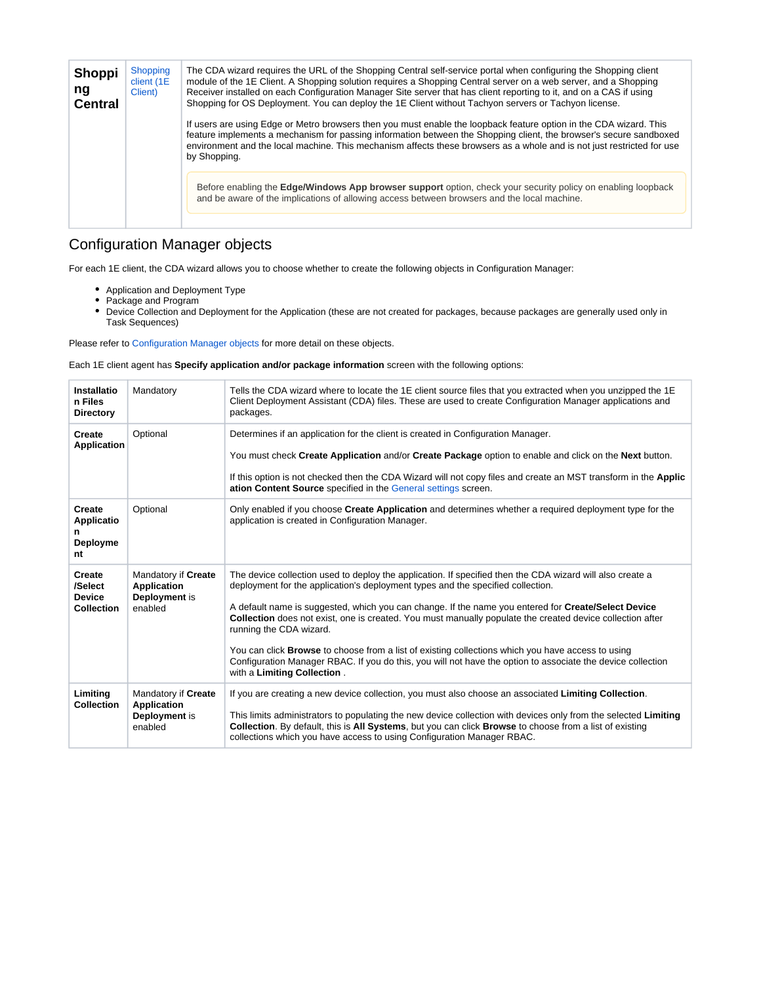<span id="page-3-0"></span>

| <b>Shoppi</b><br>ng<br><b>Central</b> | Shopping<br>client (1E<br>Client) | The CDA wizard requires the URL of the Shopping Central self-service portal when configuring the Shopping client<br>module of the 1E Client. A Shopping solution requires a Shopping Central server on a web server, and a Shopping<br>Receiver installed on each Configuration Manager Site server that has client reporting to it, and on a CAS if using<br>Shopping for OS Deployment. You can deploy the 1E Client without Tachyon servers or Tachyon license. |
|---------------------------------------|-----------------------------------|--------------------------------------------------------------------------------------------------------------------------------------------------------------------------------------------------------------------------------------------------------------------------------------------------------------------------------------------------------------------------------------------------------------------------------------------------------------------|
|                                       |                                   | If users are using Edge or Metro browsers then you must enable the loopback feature option in the CDA wizard. This<br>feature implements a mechanism for passing information between the Shopping client, the browser's secure sandboxed<br>environment and the local machine. This mechanism affects these browsers as a whole and is not just restricted for use<br>by Shopping.                                                                                 |
|                                       |                                   | Before enabling the <b>Edge/Windows App browser support</b> option, check your security policy on enabling loopback<br>and be aware of the implications of allowing access between browsers and the local machine.                                                                                                                                                                                                                                                 |

# <span id="page-3-1"></span>Configuration Manager objects

For each 1E client, the CDA wizard allows you to choose whether to create the following objects in Configuration Manager:

- Application and Deployment Type
- Package and Program
- Device Collection and Deployment for the Application (these are not created for packages, because packages are generally used only in Task Sequences)

Please refer to [Configuration Manager objects](https://help.1e.com/display/CDA15/Configuration+Manager+objects) for more detail on these objects.

Each 1E client agent has **Specify application and/or package information** screen with the following options:

| Installatio<br>n Files<br><b>Directory</b>                     | Mandatory                                                             | Tells the CDA wizard where to locate the 1E client source files that you extracted when you unzipped the 1E<br>Client Deployment Assistant (CDA) files. These are used to create Configuration Manager applications and<br>packages.                                                                                                                                                                                                                                                                                                                                                                                                                                                                         |
|----------------------------------------------------------------|-----------------------------------------------------------------------|--------------------------------------------------------------------------------------------------------------------------------------------------------------------------------------------------------------------------------------------------------------------------------------------------------------------------------------------------------------------------------------------------------------------------------------------------------------------------------------------------------------------------------------------------------------------------------------------------------------------------------------------------------------------------------------------------------------|
| <b>Create</b><br><b>Application</b>                            | Optional                                                              | Determines if an application for the client is created in Configuration Manager.<br>You must check Create Application and/or Create Package option to enable and click on the Next button.<br>If this option is not checked then the CDA Wizard will not copy files and create an MST transform in the Applic<br>ation Content Source specified in the General settings screen.                                                                                                                                                                                                                                                                                                                              |
| Create<br>Applicatio<br>Deployme<br>nt                         | Optional                                                              | Only enabled if you choose Create Application and determines whether a required deployment type for the<br>application is created in Configuration Manager.                                                                                                                                                                                                                                                                                                                                                                                                                                                                                                                                                  |
| <b>Create</b><br>/Select<br><b>Device</b><br><b>Collection</b> | Mandatory if Create<br><b>Application</b><br>Deployment is<br>enabled | The device collection used to deploy the application. If specified then the CDA wizard will also create a<br>deployment for the application's deployment types and the specified collection.<br>A default name is suggested, which you can change. If the name you entered for Create/Select Device<br><b>Collection</b> does not exist, one is created. You must manually populate the created device collection after<br>running the CDA wizard.<br>You can click <b>Browse</b> to choose from a list of existing collections which you have access to using<br>Configuration Manager RBAC. If you do this, you will not have the option to associate the device collection<br>with a Limiting Collection. |
| Limitina<br><b>Collection</b>                                  | Mandatory if Create<br><b>Application</b><br>Deployment is<br>enabled | If you are creating a new device collection, you must also choose an associated Limiting Collection.<br>This limits administrators to populating the new device collection with devices only from the selected Limiting<br>Collection. By default, this is All Systems, but you can click Browse to choose from a list of existing<br>collections which you have access to using Configuration Manager RBAC.                                                                                                                                                                                                                                                                                                 |